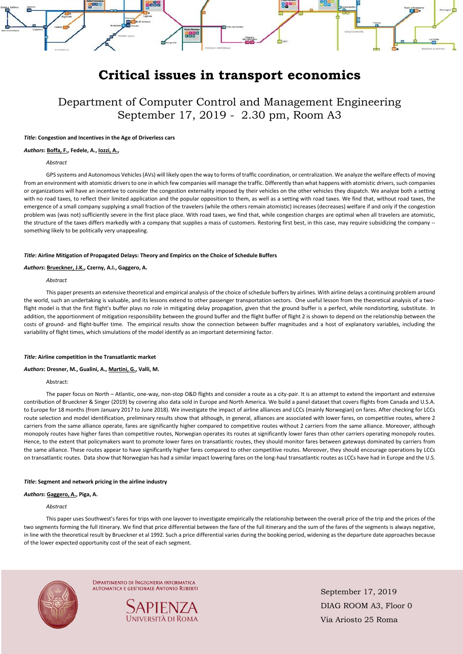September 17, 2019 DIAG ROOM A3, Floor 0 Via Ariosto 25 Roma

# good ÷ **BBB**

## **Critical issues in transport economics**

### Department of Computer Control and Management Engineering September 17, 2019 - 2.30 pm, Room A3

#### *Title***: Congestion and Incentives in the Age of Driverless cars**

#### *Authors***: Boffa, F., Fedele, A., Iozzi, A.,**

#### *Abstract*

 GPS systems and Autonomous Vehicles (AVs) will likely open the way to forms of traffic coordination, or centralization. We analyze the welfare effects of moving from an environment with atomistic drivers to one in which few companies will manage the traffic. Differently than what happens with atomistic drivers, such companies or organizations will have an incentive to consider the congestion externality imposed by their vehicles on the other vehicles they dispatch. We analyze both a setting with no road taxes, to reflect their limited application and the popular opposition to them, as well as a setting with road taxes. We find that, without road taxes, the emergence of a small company supplying a small fraction of the travelers (while the others remain atomistic) increases (decreases) welfare if and only if the congestion problem was (was not) sufficiently severe in the first place place. With road taxes, we find that, while congestion charges are optimal when all travelers are atomistic, the structure of the taxes differs markedly with a company that supplies a mass of customers. Restoring first best, in this case, may require subsidizing the company -something likely to be politically very unappealing.

#### *Title***: Airline Mitigation of Propagated Delays: Theory and Empirics on the Choice of Schedule Buffers**

### *Authors***: Brueckner, J.K., Czerny, A.I., Gaggero, A.**

#### *Abstract*

 This paper presents an extensive theoretical and empirical analysis of the choice of schedule buffers by airlines. With airline delays a continuing problem around the world, such an undertaking is valuable, and its lessons extend to other passenger transportation sectors. One useful lesson from the theoretical analysis of a twoflight model is that the first flight's buffer plays no role in mitigating delay propagation, given that the ground buffer is a perfect, while nondistorting, substitute. In addition, the apportionment of mitigation responsibility between the ground buffer and the flight buffer of flight 2 is shown to depend on the relationship between the costs of ground- and flight-buffer time. The empirical results show the connection between buffer magnitudes and a host of explanatory variables, including the variability of flight times, which simulations of the model identify as an important determining factor.

#### *Title***: Airline competition in the Transatlantic market**

#### *Authors***: Dresner, M., Gualini, A., Martini, G., Valli, M.**

#### Abstract:

 The paper focus on North – Atlantic, one-way, non-stop O&D flights and consider a route as a city-pair. It is an attempt to extend the important and extensive contribution of Brueckner & Singer (2019) by covering also data sold in Europe and North America. We build a panel dataset that covers flights from Canada and U.S.A. to Europe for 18 months (from January 2017 to June 2018). We investigate the impact of airline alliances and LCCs (mainly Norwegian) on fares. After checking for LCCs route selection and model identification, preliminary results show that although, in general, alliances are associated with lower fares, on competitive routes, where 2 carriers from the same alliance operate, fares are significantly higher compared to competitive routes without 2 carriers from the same alliance. Moreover, although monopoly routes have higher fares than competitive routes, Norwegian operates its routes at significantly lower fares than other carriers operating monopoly routes. Hence, to the extent that policymakers want to promote lower fares on transatlantic routes, they should monitor fares between gateways dominated by carriers from the same alliance. These routes appear to have significantly higher fares compared to other competitive routes. Moreover, they should encourage operations by LCCs on transatlantic routes. Data show that Norwegian has had a similar impact lowering fares on the long-haul transatlantic routes as LCCs have had in Europe and the U.S.

#### *Title***: Segment and network pricing in the airline industry**

#### *Authors***: Gaggero, A., Piga, A.**

#### *Abstract*

 This paper uses Southwest's fares for trips with one layover to investigate empirically the relationship between the overall price of the trip and the prices of the two segments forming the full itinerary. We find that price differential between the fare of the full itinerary and the sum of the fares of the segments is always negative, in line with the theoretical result by Brueckner et al 1992. Such a price differential varies during the booking period, widening as the departure date approaches because of the lower expected opportunity cost of the seat of each segment.



**DIPARTIMENTO DI INGEGNERIA INFORMATICA AUTOMATICA E GESTIONALE ANTONIO RUBERTI**